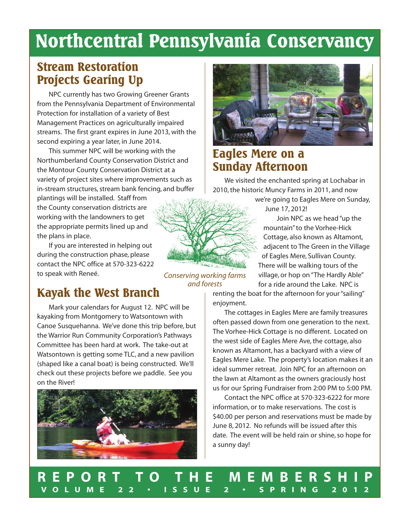# **Northcentral Pennsylvania Conservancy**

# **Stream Restoration Projects Gearing Up**

NPC currently has two Growing Greener Grants from the Pennsylvania Department of Environmental Protection for installation of a variety of Best Management Practices on agriculturally impaired streams. The first grant expires in June 2013, with the second expiring a year later, in June 2014.

This summer NPC will be working with the Northumberland County Conservation District and the Montour County Conservation District at a variety of project sites where improvements such as in-stream structures, stream bank fencing, and buffer

plantings will be installed. Staff from the County conservation districts are working with the landowners to get the appropriate permits lined up and the plans in place.

If you are interested in helping out during the construction phase, please contact the NPC office at 570-323-6222 to speak with Reneé.

*Conserving working farms and forests*

# **Kayak the West Branch**

Mark your calendars for August 12. NPC will be kayaking from Montgomery to Watsontown with Canoe Susquehanna. We've done this trip before, but the Warrior Run Community Corporation's Pathways Committee has been hard at work. The take-out at Watsontown is getting some TLC, and a new pavilion (shaped like a canal boat) is being constructed. We'll check out these projects before we paddle. See you on the River!





# **Eagles Mere on a Sunday Afternoon**

We visited the enchanted spring at Lochabar in 2010, the historic Muncy Farms in 2011, and now

> we're going to Eagles Mere on Sunday, June 17, 2012!

Join NPC as we head "up the mountain" to the Vorhee-Hick Cottage, also known as Altamont, adjacent to The Green in the Village of Eagles Mere, Sullivan County. There will be walking tours of the village, or hop on "The Hardly Able" for a ride around the Lake. NPC is

renting the boat for the afternoon for your "sailing" enjoyment.

The cottages in Eagles Mere are family treasures often passed down from one generation to the next. The Vorhee-Hick Cottage is no different. Located on the west side of Eagles Mere Ave, the cottage, also known as Altamont, has a backyard with a view of Eagles Mere Lake. The property's location makes it an ideal summer retreat. Join NPC for an afternoon on the lawn at Altamont as the owners graciously host us for our Spring Fundraiser from 2:00 PM to 5:00 PM.

Contact the NPC office at 570-323-6222 for more information, or to make reservations. The cost is \$40.00 per person and reservations must be made by June 8, 2012. No refunds will be issued after this date. The event will be held rain or shine, so hope for a sunny day!

# **R E P O R T T O T H E M E M B E R S H I P V O L U M E 2 2 • I S S U E 2 • S P R I N G 2 0 1 2**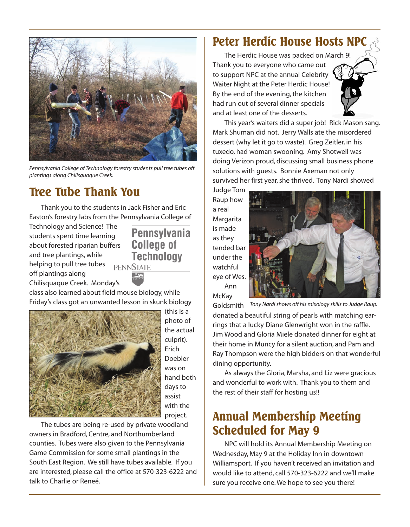

*Pennsylvania College of Technology forestry students pull tree tubes off plantings along Chilisquaque Creek.*

# **Tree Tube Thank You**

Thank you to the students in Jack Fisher and Eric Easton's forestry labs from the Pennsylvania College of

Technology and Science! The students spent time learning about forested riparian buffers and tree plantings, while helping to pull tree tubes off plantings along Chilisquaque Creek. Monday's

**Pennsylvania College of Technology PENNSTATE** 

class also learned about field mouse biology, while Friday's class got an unwanted lesson in skunk biology



(this is a photo of the actual culprit). Erich Doebler was on hand both days to assist with the project.

The tubes are being re-used by private woodland owners in Bradford, Centre, and Northumberland counties. Tubes were also given to the Pennsylvania Game Commission for some small plantings in the South East Region. We still have tubes available. If you are interested, please call the office at 570-323-6222 and talk to Charlie or Reneé.

# **Peter Herdic House Hosts NPC**

The Herdic House was packed on March 9! Thank you to everyone who came out to support NPC at the annual Celebrity Waiter Night at the Peter Herdic House! By the end of the evening, the kitchen had run out of several dinner specials and at least one of the desserts.



This year's waiters did a super job! Rick Mason sang. Mark Shuman did not. Jerry Walls ate the misordered dessert (why let it go to waste). Greg Zeitler, in his tuxedo, had woman swooning. Amy Shotwell was doing Verizon proud, discussing small business phone solutions with guests. Bonnie Axeman not only survived her first year, she thrived. Tony Nardi showed

Judge Tom Raup how a real **Margarita** is made as they tended bar under the watchful eye of Wes. Ann

**McKay** 



Goldsmith *Tony Nardi shows off his mixology skills to Judge Raup.* donated a beautiful string of pearls with matching earrings that a lucky Diane Glenwright won in the raffle. Jim Wood and Gloria Miele donated dinner for eight at their home in Muncy for a silent auction, and Pam and Ray Thompson were the high bidders on that wonderful dining opportunity.

As always the Gloria, Marsha, and Liz were gracious and wonderful to work with. Thank you to them and the rest of their staff for hosting us!!

# **Annual Membership Meeting Scheduled for May 9**

NPC will hold its Annual Membership Meeting on Wednesday, May 9 at the Holiday Inn in downtown Williamsport. If you haven't received an invitation and would like to attend, call 570-323-6222 and we'll make sure you receive one. We hope to see you there!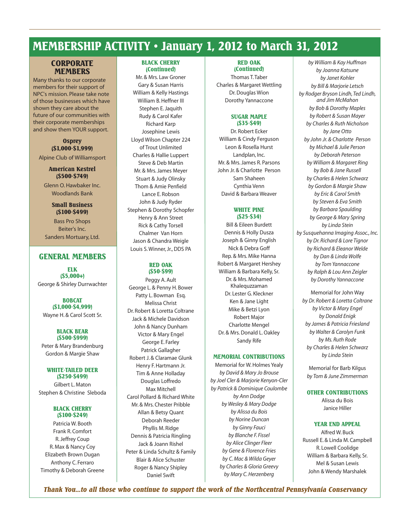# **MEMBERSHIP ACTIVITY • January 1, 2012 to March 31, 2012**

### **CORPORATE MEMBERS**

Many thanks to our corporate members for their support of NPC's mission. Please take note of those businesses which have shown they care about the future of our communities with their corporate memberships and show them YOUR support.

### **Osprey (\$1,000-\$1,999)**

Alpine Club of Williamsport

### **American Kestrel (\$500-\$749)**

Glenn O. Hawbaker Inc. Woodlands Bank

### **Small Business (\$100-\$499)**

Bass Pro Shops Beiter's Inc. Sanders Mortuary, Ltd.

### **GENERAL MEMBERS**

**ELK (\$5,000+)** George & Shirley Durrwachter

# **BOBCAT (\$1,000-\$4,999)**

Wayne H. & Carol Scott Sr.

#### **BLACK BEAR (\$500-\$999)**

Peter & Mary Brandenburg Gordon & Margie Shaw

#### **WHITE-TAILED DEER (\$250-\$499)**

Gilbert L. Maton Stephen & Christine Sleboda

#### **BLACK CHERRY (\$100-\$249)**

Patricia W. Booth Frank R. Comfort R. Jeffrey Coup R. Max & Nancy Coy Elizabeth Brown Dugan Anthony C. Ferraro Timothy & Deborah Greene

#### **BLACK CHERRY (Continued)**

Mr. & Mrs. Law Groner Gary & Susan Harris William & Kelly Hastings William B. Heffner III Stephen E. Jaquith Rudy & Carol Kafer Richard Karp Josephine Lewis Lloyd Wilson Chapter 224 of Trout Unlimited Charles & Hallie Luppert Steve & Deb Martin Mr. & Mrs. James Meyer Stuart & Judy Olinsky Thom & Amie Penfield Lance E. Robson John & Judy Ryder Stephen & Dorothy Schopfer Henry & Ann Street Rick & Cathy Torsell Chalmer Van Horn Jason & Chandra Weigle Louis S. Winner, Jr., DDS PA

#### **RED OAK (\$50-\$99)**

Peggy A. Ault George L. & Penny H. Bower Patty L. Bowman Esq. Melissa Christ Dr. Robert & Loretta Coltrane Jack & Michele Davidson John & Nancy Dunham Victor & Mary Engel George E. Farley Patrick Gallagher Robert J. & Claramae Glunk Henry F. Hartmann Jr. Tim & Anne Holladay Douglas Loffredo Max Mitchell Carol Pollard & Richard White Mr. & Mrs. Chester Pribble Allan & Betsy Quant Deborah Reeder Phyllis M. Ridge Dennis & Patricia Ringling Jack & Joann Rishel Peter & Linda Schultz & Family Blair & Alice Schuster Roger & Nancy Shipley Daniel Swift

#### **RED OAK (Continued)**

Thomas T. Taber Charles & Margaret Wettling Dr. Douglas Wion Dorothy Yannaccone

#### **SUGAR MAPLE (\$35-\$49)**

Dr. Robert Ecker William & Cindy Ferguson Leon & Rosella Hurst Landplan, Inc. Mr. & Mrs. James R. Parsons John Jr. & Charlotte Person Sam Shaheen Cynthia Venn David & Barbara Weaver

#### **WHITE PINE (\$25-\$34)**

Bill & Eileen Burdett Dennis & Holly Dusza Joseph & Ginny English Nick & Debra Goff Rep. & Mrs. Mike Hanna Robert & Margaret Hershey William & Barbara Kelly, Sr. Dr. & Mrs. Mohamed Khalequzzaman Dr. Lester G. Kleckner Ken & Jane Light Mike & Betzi Lyon Robert Major Charlotte Mengel Dr. & Mrs. Donald L. Oakley Sandy Rife

#### **MEMORIAL CONTRIBUTIONS**

Memorial for W. Holmes Yealy *by David & Mary Jo Brouse by Joel Cler & Marjorie Kenyon-Cler by Patrick & Dominique Coulombe by Ann Dodge by Wesley & Mary Dodge by Alissa du Bois by Norine Duncan by Ginny Fauci by Blanche F. Fissel by Alice Clinger Fleer by Gene & Florence Fries by C. Mac & Wilda Geyer by Charles & Gloria Greevy by Mary C. Herzenberg*

*by William & Kay Huffman by Joanna Katsune by Janet Kohler by Bill & Marjorie Letsch by Rodger Bryson Lindh, Ted Lindh, and Jim McMahon by Bob & Dorothy Maples by Robert & Susan Mayer by Charles & Ruth Nicholson by Jane Otto by John Jr. & Charlotte Person by Michael & Julie Person by Deborah Peterson by William & Margaret Ring by Bob & Jane Russell by Charles & Helen Schwarz by Gordon & Margie Shaw by Eric & Carol Smith by Steven & Eva Smith by Barbara Spaulding by George & Mary Spring by Linda Stein by Susquehanna Imaging Assoc., Inc. by Dr. Richard & Lore Tignor by Richard & Eleanor Welde by Dan & Linda Wolfe by Tom Yannaccone by Ralph & Lou Ann Zeigler by Dorothy Yannaccone*

Memorial for John Way *by Dr. Robert & Loretta Coltrane by Victor & Mary Engel by Donald Enigk by James & Patricia Friesland by Walter & Carolyn Funk by Ms. Ruth Rode by Charles & Helen Schwarz by Linda Stein*

Memorial for Barb Kilgus *by Tom & June Zimmerman*

### **OTHER CONTRIBUTIONS**

Alissa du Bois Janice Hiller

### **YEAR END APPEAL**

Alfred W. Buck Russell E. & Linda M. Campbell R. Lowell Coolidge William & Barbara Kelly, Sr. Mel & Susan Lewis John & Wendy Marshalek

*Thank You...to all those who continue to support the work of the Northcentral Pennsylvania Conservancy*